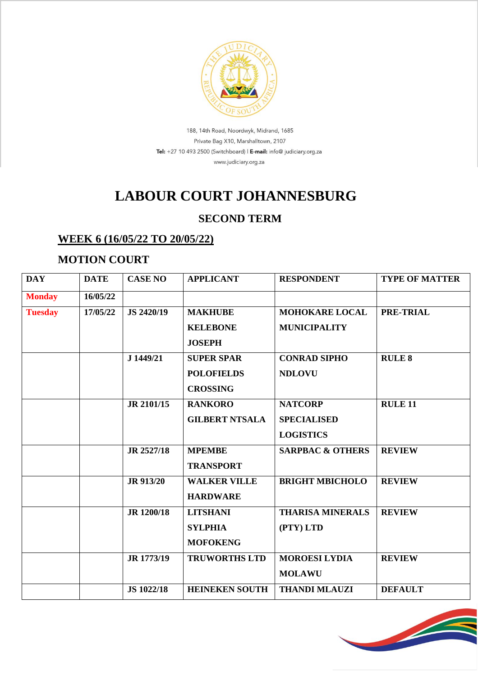

188, 14th Road, Noordwyk, Midrand, 1685 Private Bag X10, Marshalltown, 2107 Tel: +27 10 493 2500 (Switchboard) | E-mail: info@ judiciary.org.za www.judiciary.org.za

# **LABOUR COURT JOHANNESBURG**

### **SECOND TERM**

#### **WEEK 6 (16/05/22 TO 20/05/22)**

#### **MOTION COURT**

| <b>DAY</b>     | <b>DATE</b> | <b>CASE NO</b>    | <b>APPLICANT</b>      | <b>RESPONDENT</b>           | <b>TYPE OF MATTER</b> |
|----------------|-------------|-------------------|-----------------------|-----------------------------|-----------------------|
| <b>Monday</b>  | 16/05/22    |                   |                       |                             |                       |
| <b>Tuesday</b> | 17/05/22    | JS 2420/19        | <b>MAKHUBE</b>        | <b>MOHOKARE LOCAL</b>       | <b>PRE-TRIAL</b>      |
|                |             |                   | <b>KELEBONE</b>       | <b>MUNICIPALITY</b>         |                       |
|                |             |                   | <b>JOSEPH</b>         |                             |                       |
|                |             | J 1449/21         | <b>SUPER SPAR</b>     | <b>CONRAD SIPHO</b>         | <b>RULE 8</b>         |
|                |             |                   | <b>POLOFIELDS</b>     | <b>NDLOVU</b>               |                       |
|                |             |                   | <b>CROSSING</b>       |                             |                       |
|                |             | JR 2101/15        | <b>RANKORO</b>        | <b>NATCORP</b>              | <b>RULE 11</b>        |
|                |             |                   | <b>GILBERT NTSALA</b> | <b>SPECIALISED</b>          |                       |
|                |             |                   |                       | <b>LOGISTICS</b>            |                       |
|                |             | JR 2527/18        | <b>MPEMBE</b>         | <b>SARPBAC &amp; OTHERS</b> | <b>REVIEW</b>         |
|                |             |                   | <b>TRANSPORT</b>      |                             |                       |
|                |             | <b>JR 913/20</b>  | <b>WALKER VILLE</b>   | <b>BRIGHT MBICHOLO</b>      | <b>REVIEW</b>         |
|                |             |                   | <b>HARDWARE</b>       |                             |                       |
|                |             | JR 1200/18        | <b>LITSHANI</b>       | <b>THARISA MINERALS</b>     | <b>REVIEW</b>         |
|                |             |                   | <b>SYLPHIA</b>        | (PTY) LTD                   |                       |
|                |             |                   | <b>MOFOKENG</b>       |                             |                       |
|                |             | JR 1773/19        | <b>TRUWORTHS LTD</b>  | <b>MOROESI LYDIA</b>        | <b>REVIEW</b>         |
|                |             |                   |                       | <b>MOLAWU</b>               |                       |
|                |             | <b>JS 1022/18</b> | <b>HEINEKEN SOUTH</b> | <b>THANDI MLAUZI</b>        | <b>DEFAULT</b>        |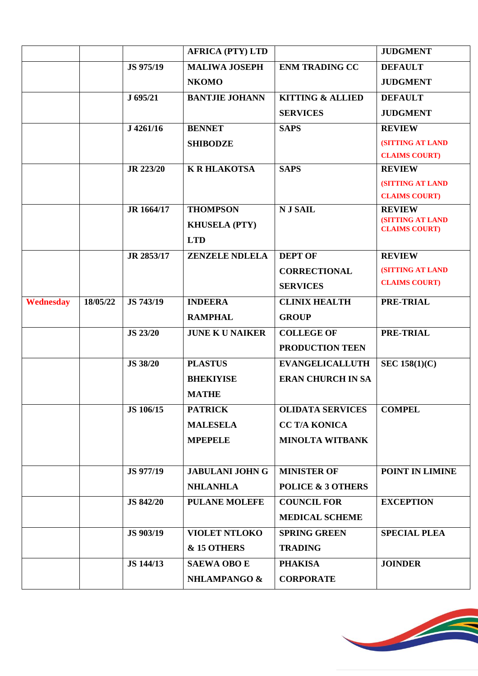|                  |          |                  | <b>AFRICA (PTY) LTD</b> |                              | <b>JUDGMENT</b>                                 |
|------------------|----------|------------------|-------------------------|------------------------------|-------------------------------------------------|
|                  |          | JS 975/19        | <b>MALIWA JOSEPH</b>    | <b>ENM TRADING CC</b>        | <b>DEFAULT</b>                                  |
|                  |          |                  |                         |                              |                                                 |
|                  |          |                  | <b>NKOMO</b>            |                              | <b>JUDGMENT</b>                                 |
|                  |          | J 695/21         | <b>BANTJIE JOHANN</b>   | <b>KITTING &amp; ALLIED</b>  | <b>DEFAULT</b>                                  |
|                  |          |                  |                         | <b>SERVICES</b>              | <b>JUDGMENT</b>                                 |
|                  |          | J 4261/16        | <b>BENNET</b>           | <b>SAPS</b>                  | <b>REVIEW</b>                                   |
|                  |          |                  | <b>SHIBODZE</b>         |                              | <b>(SITTING AT LAND</b>                         |
|                  |          |                  |                         |                              | <b>CLAIMS COURT)</b>                            |
|                  |          | <b>JR 223/20</b> | <b>K R HLAKOTSA</b>     | <b>SAPS</b>                  | <b>REVIEW</b>                                   |
|                  |          |                  |                         |                              | <b>(SITTING AT LAND</b>                         |
|                  |          |                  |                         |                              | <b>CLAIMS COURT)</b>                            |
|                  |          | JR 1664/17       | <b>THOMPSON</b>         | <b>NJSAIL</b>                | <b>REVIEW</b>                                   |
|                  |          |                  | <b>KHUSELA (PTY)</b>    |                              | <b>(SITTING AT LAND</b><br><b>CLAIMS COURT)</b> |
|                  |          |                  | <b>LTD</b>              |                              |                                                 |
|                  |          | JR 2853/17       | <b>ZENZELE NDLELA</b>   | <b>DEPT OF</b>               | <b>REVIEW</b>                                   |
|                  |          |                  |                         |                              | <b>(SITTING AT LAND</b>                         |
|                  |          |                  |                         | <b>CORRECTIONAL</b>          | <b>CLAIMS COURT)</b>                            |
|                  |          |                  |                         | <b>SERVICES</b>              |                                                 |
| <b>Wednesday</b> | 18/05/22 | JS 743/19        | <b>INDEERA</b>          | <b>CLINIX HEALTH</b>         | PRE-TRIAL                                       |
|                  |          |                  | <b>RAMPHAL</b>          | <b>GROUP</b>                 |                                                 |
|                  |          | <b>JS 23/20</b>  | <b>JUNE K U NAIKER</b>  | <b>COLLEGE OF</b>            | <b>PRE-TRIAL</b>                                |
|                  |          |                  |                         | PRODUCTION TEEN              |                                                 |
|                  |          | <b>JS 38/20</b>  | <b>PLASTUS</b>          | <b>EVANGELICALLUTH</b>       | <b>SEC 158(1)(C)</b>                            |
|                  |          |                  | <b>BHEKIYISE</b>        | <b>ERAN CHURCH IN SA</b>     |                                                 |
|                  |          |                  | <b>MATHE</b>            |                              |                                                 |
|                  |          |                  |                         |                              |                                                 |
|                  |          | JS 106/15        | <b>PATRICK</b>          | <b>OLIDATA SERVICES</b>      | <b>COMPEL</b>                                   |
|                  |          |                  | <b>MALESELA</b>         | <b>CC T/A KONICA</b>         |                                                 |
|                  |          |                  | <b>MPEPELE</b>          | <b>MINOLTA WITBANK</b>       |                                                 |
|                  |          |                  |                         |                              |                                                 |
|                  |          | JS 977/19        | <b>JABULANI JOHN G</b>  | <b>MINISTER OF</b>           | POINT IN LIMINE                                 |
|                  |          |                  | <b>NHLANHLA</b>         | <b>POLICE &amp; 3 OTHERS</b> |                                                 |
|                  |          | <b>JS 842/20</b> | <b>PULANE MOLEFE</b>    | <b>COUNCIL FOR</b>           | <b>EXCEPTION</b>                                |
|                  |          |                  |                         | <b>MEDICAL SCHEME</b>        |                                                 |
|                  |          | JS 903/19        | <b>VIOLET NTLOKO</b>    | <b>SPRING GREEN</b>          | <b>SPECIAL PLEA</b>                             |
|                  |          |                  | & 15 OTHERS             | <b>TRADING</b>               |                                                 |
|                  |          | JS 144/13        | <b>SAEWA OBO E</b>      | <b>PHAKISA</b>               | <b>JOINDER</b>                                  |
|                  |          |                  | <b>NHLAMPANGO &amp;</b> | <b>CORPORATE</b>             |                                                 |
|                  |          |                  |                         |                              |                                                 |

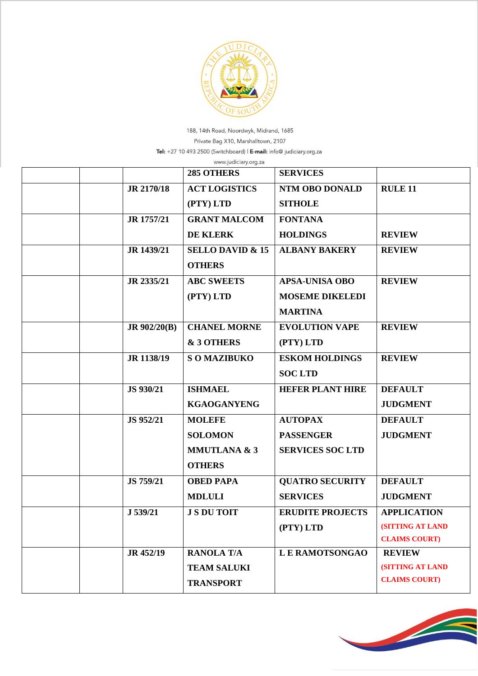

188, 14th Road, Noordwyk, Midrand, 1685 Private Bag X10, Marshalltown, 2107 Tel: +27 10 493 2500 (Switchboard) | E-mail: info@ judiciary.org.za

| www.judiciary.org.za |                     |                             |                         |                         |  |  |
|----------------------|---------------------|-----------------------------|-------------------------|-------------------------|--|--|
|                      |                     | 285 OTHERS                  | <b>SERVICES</b>         |                         |  |  |
|                      | JR 2170/18          | <b>ACT LOGISTICS</b>        | <b>NTM OBO DONALD</b>   | <b>RULE 11</b>          |  |  |
|                      |                     | (PTY) LTD                   | <b>SITHOLE</b>          |                         |  |  |
|                      | JR 1757/21          | <b>GRANT MALCOM</b>         | <b>FONTANA</b>          |                         |  |  |
|                      |                     | <b>DE KLERK</b>             | <b>HOLDINGS</b>         | <b>REVIEW</b>           |  |  |
|                      | JR 1439/21          | <b>SELLO DAVID &amp; 15</b> | <b>ALBANY BAKERY</b>    | <b>REVIEW</b>           |  |  |
|                      |                     | <b>OTHERS</b>               |                         |                         |  |  |
|                      | JR 2335/21          | <b>ABC SWEETS</b>           | <b>APSA-UNISA OBO</b>   | <b>REVIEW</b>           |  |  |
|                      |                     | (PTY) LTD                   | <b>MOSEME DIKELEDI</b>  |                         |  |  |
|                      |                     |                             | <b>MARTINA</b>          |                         |  |  |
|                      | <b>JR 902/20(B)</b> | <b>CHANEL MORNE</b>         | <b>EVOLUTION VAPE</b>   | <b>REVIEW</b>           |  |  |
|                      |                     | & 3 OTHERS                  | (PTY) LTD               |                         |  |  |
|                      | JR 1138/19          | <b>SOMAZIBUKO</b>           | <b>ESKOM HOLDINGS</b>   | <b>REVIEW</b>           |  |  |
|                      |                     |                             | <b>SOC LTD</b>          |                         |  |  |
|                      | JS 930/21           | <b>ISHMAEL</b>              | <b>HEFER PLANT HIRE</b> | <b>DEFAULT</b>          |  |  |
|                      |                     | <b>KGAOGANYENG</b>          |                         | <b>JUDGMENT</b>         |  |  |
|                      | JS 952/21           | <b>MOLEFE</b>               | <b>AUTOPAX</b>          | <b>DEFAULT</b>          |  |  |
|                      |                     | <b>SOLOMON</b>              | <b>PASSENGER</b>        | <b>JUDGMENT</b>         |  |  |
|                      |                     | <b>MMUTLANA &amp; 3</b>     | <b>SERVICES SOC LTD</b> |                         |  |  |
|                      |                     | <b>OTHERS</b>               |                         |                         |  |  |
|                      | JS 759/21           | <b>OBED PAPA</b>            | <b>QUATRO SECURITY</b>  | <b>DEFAULT</b>          |  |  |
|                      |                     | <b>MDLULI</b>               | <b>SERVICES</b>         | <b>JUDGMENT</b>         |  |  |
|                      | J 539/21            | <b>J S DU TOIT</b>          | <b>ERUDITE PROJECTS</b> | <b>APPLICATION</b>      |  |  |
|                      |                     |                             | (PTY) LTD               | <b>(SITTING AT LAND</b> |  |  |
|                      |                     |                             |                         | <b>CLAIMS COURT)</b>    |  |  |
|                      | JR 452/19           | <b>RANOLA T/A</b>           | <b>LE RAMOTSONGAO</b>   | <b>REVIEW</b>           |  |  |
|                      |                     | <b>TEAM SALUKI</b>          |                         | <b>(SITTING AT LAND</b> |  |  |
|                      |                     | <b>TRANSPORT</b>            |                         | <b>CLAIMS COURT)</b>    |  |  |
|                      |                     |                             |                         |                         |  |  |

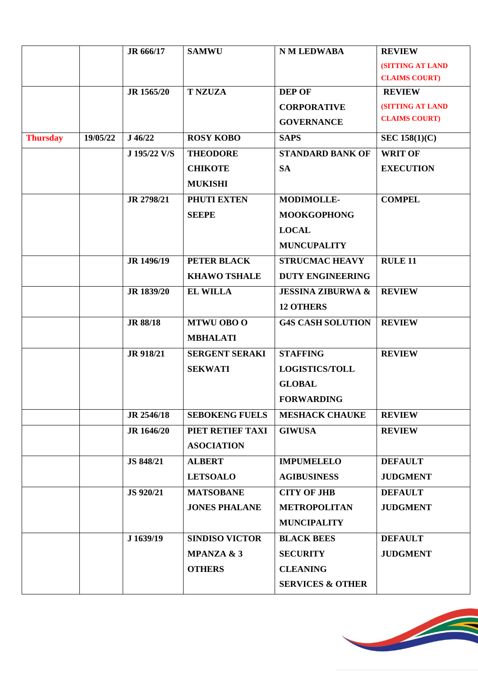|                 |          | JR 666/17       | <b>SAMWU</b>          | <b>N M LEDWABA</b>           | <b>REVIEW</b>           |
|-----------------|----------|-----------------|-----------------------|------------------------------|-------------------------|
|                 |          |                 |                       |                              | <b>(SITTING AT LAND</b> |
|                 |          |                 |                       |                              | <b>CLAIMS COURT)</b>    |
|                 |          | JR 1565/20      | <b>T NZUZA</b>        | <b>DEP OF</b>                | <b>REVIEW</b>           |
|                 |          |                 |                       | <b>CORPORATIVE</b>           | (SITTING AT LAND        |
|                 |          |                 |                       | <b>GOVERNANCE</b>            | <b>CLAIMS COURT)</b>    |
| <b>Thursday</b> | 19/05/22 | J46/22          | <b>ROSY KOBO</b>      | <b>SAPS</b>                  | <b>SEC 158(1)(C)</b>    |
|                 |          | J 195/22 V/S    | <b>THEODORE</b>       | <b>STANDARD BANK OF</b>      | <b>WRIT OF</b>          |
|                 |          |                 | <b>CHIKOTE</b>        | <b>SA</b>                    | <b>EXECUTION</b>        |
|                 |          |                 | <b>MUKISHI</b>        |                              |                         |
|                 |          | JR 2798/21      | PHUTI EXTEN           | <b>MODIMOLLE-</b>            | <b>COMPEL</b>           |
|                 |          |                 | <b>SEEPE</b>          | <b>MOOKGOPHONG</b>           |                         |
|                 |          |                 |                       | <b>LOCAL</b>                 |                         |
|                 |          |                 |                       | <b>MUNCUPALITY</b>           |                         |
|                 |          | JR 1496/19      | PETER BLACK           | <b>STRUCMAC HEAVY</b>        | <b>RULE 11</b>          |
|                 |          |                 | <b>KHAWO TSHALE</b>   | <b>DUTY ENGINEERING</b>      |                         |
|                 |          | JR 1839/20      | <b>EL WILLA</b>       | <b>JESSINA ZIBURWA &amp;</b> | <b>REVIEW</b>           |
|                 |          |                 |                       | <b>12 OTHERS</b>             |                         |
|                 |          | <b>JR 88/18</b> | <b>MTWU OBO O</b>     | <b>G4S CASH SOLUTION</b>     | <b>REVIEW</b>           |
|                 |          |                 | <b>MBHALATI</b>       |                              |                         |
|                 |          | JR 918/21       | <b>SERGENT SERAKI</b> | <b>STAFFING</b>              | <b>REVIEW</b>           |
|                 |          |                 | <b>SEKWATI</b>        | <b>LOGISTICS/TOLL</b>        |                         |
|                 |          |                 |                       | <b>GLOBAL</b>                |                         |
|                 |          |                 |                       | <b>FORWARDING</b>            |                         |
|                 |          | JR 2546/18      | <b>SEBOKENG FUELS</b> | <b>MESHACK CHAUKE</b>        | <b>REVIEW</b>           |
|                 |          | JR 1646/20      | PIET RETIEF TAXI      | <b>GIWUSA</b>                | <b>REVIEW</b>           |
|                 |          |                 | <b>ASOCIATION</b>     |                              |                         |
|                 |          | JS 848/21       | <b>ALBERT</b>         | <b>IMPUMELELO</b>            | <b>DEFAULT</b>          |
|                 |          |                 | <b>LETSOALO</b>       | <b>AGIBUSINESS</b>           | <b>JUDGMENT</b>         |
|                 |          | JS 920/21       | <b>MATSOBANE</b>      | <b>CITY OF JHB</b>           | <b>DEFAULT</b>          |
|                 |          |                 | <b>JONES PHALANE</b>  | <b>METROPOLITAN</b>          | <b>JUDGMENT</b>         |
|                 |          |                 |                       | <b>MUNCIPALITY</b>           |                         |
|                 |          | J 1639/19       | <b>SINDISO VICTOR</b> | <b>BLACK BEES</b>            | <b>DEFAULT</b>          |
|                 |          |                 | <b>MPANZA &amp; 3</b> | <b>SECURITY</b>              | <b>JUDGMENT</b>         |
|                 |          |                 | <b>OTHERS</b>         | <b>CLEANING</b>              |                         |
|                 |          |                 |                       | <b>SERVICES &amp; OTHER</b>  |                         |
|                 |          |                 |                       |                              |                         |

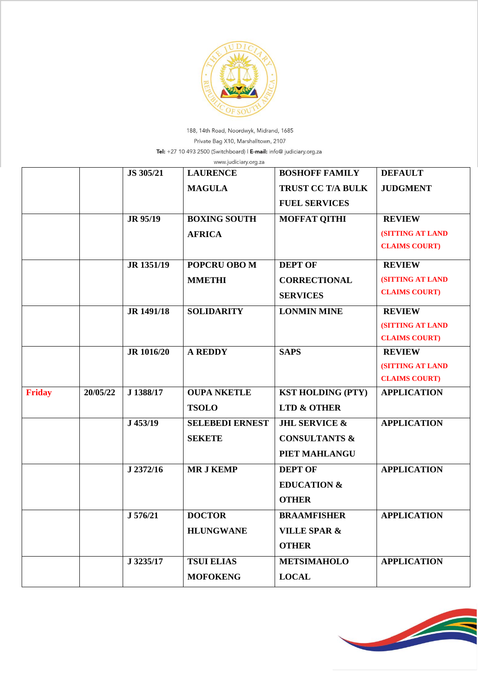

188, 14th Road, Noordwyk, Midrand, 1685 Private Bag X10, Marshalltown, 2107 Tel: +27 10 493 2500 (Switchboard) | E-mail: info@ judiciary.org.za

|               | www.judiciary.org.za |                   |                        |                          |                         |  |  |
|---------------|----------------------|-------------------|------------------------|--------------------------|-------------------------|--|--|
|               |                      | JS 305/21         | <b>LAURENCE</b>        | <b>BOSHOFF FAMILY</b>    | <b>DEFAULT</b>          |  |  |
|               |                      |                   | <b>MAGULA</b>          | <b>TRUST CC T/A BULK</b> | <b>JUDGMENT</b>         |  |  |
|               |                      |                   |                        | <b>FUEL SERVICES</b>     |                         |  |  |
|               |                      | JR 95/19          | <b>BOXING SOUTH</b>    | <b>MOFFAT QITHI</b>      | <b>REVIEW</b>           |  |  |
|               |                      |                   | <b>AFRICA</b>          |                          | (SITTING AT LAND        |  |  |
|               |                      |                   |                        |                          | <b>CLAIMS COURT)</b>    |  |  |
|               |                      | JR 1351/19        | POPCRU OBO M           | <b>DEPT OF</b>           | <b>REVIEW</b>           |  |  |
|               |                      |                   | <b>MMETHI</b>          | <b>CORRECTIONAL</b>      | <b>(SITTING AT LAND</b> |  |  |
|               |                      |                   |                        | <b>SERVICES</b>          | <b>CLAIMS COURT)</b>    |  |  |
|               |                      | JR 1491/18        | <b>SOLIDARITY</b>      | <b>LONMIN MINE</b>       | <b>REVIEW</b>           |  |  |
|               |                      |                   |                        |                          | (SITTING AT LAND        |  |  |
|               |                      |                   |                        |                          | <b>CLAIMS COURT)</b>    |  |  |
|               |                      | <b>JR</b> 1016/20 | <b>A REDDY</b>         | <b>SAPS</b>              | <b>REVIEW</b>           |  |  |
|               |                      |                   |                        |                          | <b>(SITTING AT LAND</b> |  |  |
|               |                      |                   |                        |                          | <b>CLAIMS COURT)</b>    |  |  |
| <b>Friday</b> | 20/05/22             | J 1388/17         | <b>OUPA NKETLE</b>     | <b>KST HOLDING (PTY)</b> | <b>APPLICATION</b>      |  |  |
|               |                      |                   | <b>TSOLO</b>           | <b>LTD &amp; OTHER</b>   |                         |  |  |
|               |                      | J 453/19          | <b>SELEBEDI ERNEST</b> | <b>JHL SERVICE &amp;</b> | <b>APPLICATION</b>      |  |  |
|               |                      |                   | <b>SEKETE</b>          | <b>CONSULTANTS &amp;</b> |                         |  |  |
|               |                      |                   |                        | PIET MAHLANGU            |                         |  |  |
|               |                      | J 2372/16         | <b>MR J KEMP</b>       | <b>DEPT OF</b>           | <b>APPLICATION</b>      |  |  |
|               |                      |                   |                        | <b>EDUCATION &amp;</b>   |                         |  |  |
|               |                      |                   |                        | <b>OTHER</b>             |                         |  |  |
|               |                      | J 576/21          | <b>DOCTOR</b>          | <b>BRAAMFISHER</b>       | <b>APPLICATION</b>      |  |  |
|               |                      |                   | <b>HLUNGWANE</b>       | <b>VILLE SPAR &amp;</b>  |                         |  |  |
|               |                      |                   |                        | <b>OTHER</b>             |                         |  |  |
|               |                      | J 3235/17         | <b>TSUI ELIAS</b>      | <b>METSIMAHOLO</b>       | <b>APPLICATION</b>      |  |  |
|               |                      |                   | <b>MOFOKENG</b>        | <b>LOCAL</b>             |                         |  |  |

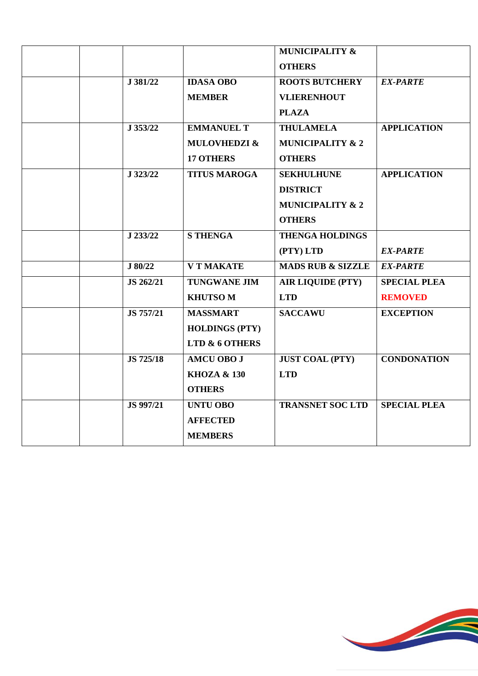|                  |                         | <b>MUNICIPALITY &amp;</b>    |                     |
|------------------|-------------------------|------------------------------|---------------------|
|                  |                         | <b>OTHERS</b>                |                     |
| J 381/22         | <b>IDASA OBO</b>        | <b>ROOTS BUTCHERY</b>        | <b>EX-PARTE</b>     |
|                  | <b>MEMBER</b>           | <b>VLIERENHOUT</b>           |                     |
|                  |                         | <b>PLAZA</b>                 |                     |
| J 353/22         | <b>EMMANUEL T</b>       | <b>THULAMELA</b>             | <b>APPLICATION</b>  |
|                  | <b>MULOVHEDZI &amp;</b> | <b>MUNICIPALITY &amp; 2</b>  |                     |
|                  | <b>17 OTHERS</b>        | <b>OTHERS</b>                |                     |
| J 323/22         | <b>TITUS MAROGA</b>     | <b>SEKHULHUNE</b>            | <b>APPLICATION</b>  |
|                  |                         | <b>DISTRICT</b>              |                     |
|                  |                         | <b>MUNICIPALITY &amp; 2</b>  |                     |
|                  |                         | <b>OTHERS</b>                |                     |
| J 233/22         | <b>S THENGA</b>         | <b>THENGA HOLDINGS</b>       |                     |
|                  |                         | (PTY) LTD                    | <b>EX-PARTE</b>     |
| J 80/22          | <b>V T MAKATE</b>       | <b>MADS RUB &amp; SIZZLE</b> | <b>EX-PARTE</b>     |
| JS 262/21        | <b>TUNGWANE JIM</b>     | <b>AIR LIQUIDE (PTY)</b>     | <b>SPECIAL PLEA</b> |
|                  | <b>KHUTSOM</b>          | <b>LTD</b>                   | <b>REMOVED</b>      |
| JS 757/21        | <b>MASSMART</b>         | <b>SACCAWU</b>               | <b>EXCEPTION</b>    |
|                  | <b>HOLDINGS (PTY)</b>   |                              |                     |
|                  | LTD & 6 OTHERS          |                              |                     |
| <b>JS 725/18</b> | <b>AMCU OBO J</b>       | <b>JUST COAL (PTY)</b>       | <b>CONDONATION</b>  |
|                  | <b>KHOZA &amp; 130</b>  | <b>LTD</b>                   |                     |
|                  | <b>OTHERS</b>           |                              |                     |
| <b>JS 997/21</b> | <b>UNTU OBO</b>         | <b>TRANSNET SOC LTD</b>      | <b>SPECIAL PLEA</b> |
|                  | <b>AFFECTED</b>         |                              |                     |
|                  | <b>MEMBERS</b>          |                              |                     |

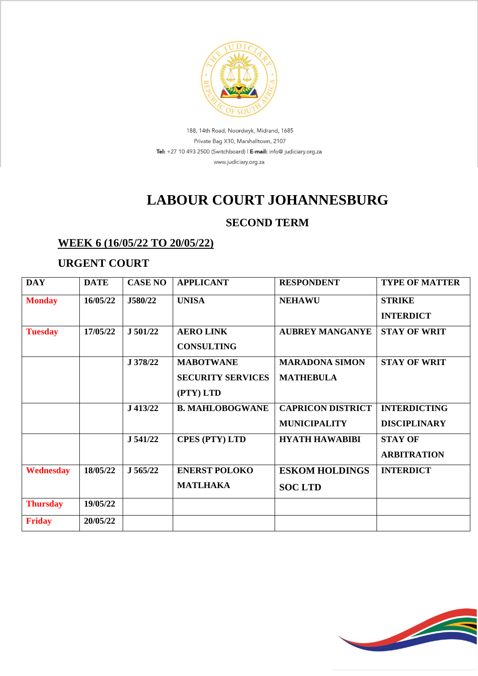

188, 14th Road, Noordwyk, Midrand, 1685 Private Bag X10, Marshalltown, 2107 Tel: +27 10 493 2500 (Switchboard) | E-mail: info@ judiciary.org.za www.judiciary.org.za

# **LABOUR COURT JOHANNESBURG**

### **SECOND TERM**

## **WEEK 6 (16/05/22 TO 20/05/22)**

#### **URGENT COURT**

| <b>DAY</b>      | <b>DATE</b> | <b>CASE NO</b> | <b>APPLICANT</b>         | <b>RESPONDENT</b>        | <b>TYPE OF MATTER</b> |
|-----------------|-------------|----------------|--------------------------|--------------------------|-----------------------|
| <b>Monday</b>   | 16/05/22    | J580/22        | <b>UNISA</b>             | <b>NEHAWU</b>            | <b>STRIKE</b>         |
|                 |             |                |                          |                          | <b>INTERDICT</b>      |
| <b>Tuesday</b>  | 17/05/22    | J 501/22       | <b>AERO LINK</b>         | <b>AUBREY MANGANYE</b>   | <b>STAY OF WRIT</b>   |
|                 |             |                | <b>CONSULTING</b>        |                          |                       |
|                 |             | J 378/22       | <b>MABOTWANE</b>         | <b>MARADONA SIMON</b>    | <b>STAY OF WRIT</b>   |
|                 |             |                | <b>SECURITY SERVICES</b> | <b>MATHEBULA</b>         |                       |
|                 |             |                | (PTY) LTD                |                          |                       |
|                 |             | J 413/22       | <b>B. MAHLOBOGWANE</b>   | <b>CAPRICON DISTRICT</b> | <b>INTERDICTING</b>   |
|                 |             |                |                          | <b>MUNICIPALITY</b>      | <b>DISCIPLINARY</b>   |
|                 |             | J 541/22       | <b>CPES (PTY) LTD</b>    | <b>HYATH HAWABIBI</b>    | <b>STAY OF</b>        |
|                 |             |                |                          |                          | <b>ARBITRATION</b>    |
| Wednesday       | 18/05/22    | J 565/22       | <b>ENERST POLOKO</b>     | <b>ESKOM HOLDINGS</b>    | <b>INTERDICT</b>      |
|                 |             |                | <b>MATLHAKA</b>          | <b>SOC LTD</b>           |                       |
| <b>Thursday</b> | 19/05/22    |                |                          |                          |                       |
| <b>Friday</b>   | 20/05/22    |                |                          |                          |                       |